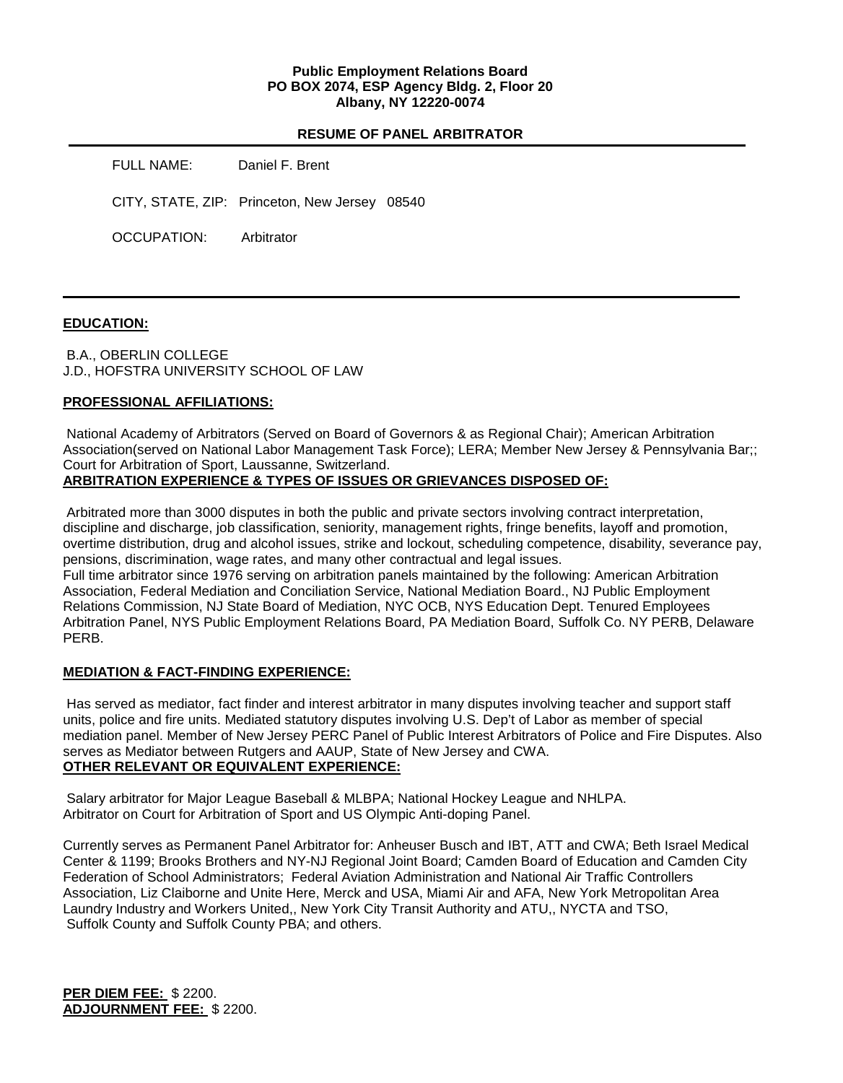## **Public Employment Relations Board PO BOX 2074, ESP Agency Bldg. 2, Floor 20 Albany, NY 12220-0074**

#### **RESUME OF PANEL ARBITRATOR**

FULL NAME: Daniel F. Brent

CITY, STATE, ZIP: Princeton, New Jersey 08540

OCCUPATION: Arbitrator

## **EDUCATION:**

B.A., OBERLIN COLLEGE J.D., HOFSTRA UNIVERSITY SCHOOL OF LAW

## **PROFESSIONAL AFFILIATIONS:**

National Academy of Arbitrators (Served on Board of Governors & as Regional Chair); American Arbitration Association(served on National Labor Management Task Force); LERA; Member New Jersey & Pennsylvania Bar;; Court for Arbitration of Sport, Laussanne, Switzerland.

**ARBITRATION EXPERIENCE & TYPES OF ISSUES OR GRIEVANCES DISPOSED OF:** 

Arbitrated more than 3000 disputes in both the public and private sectors involving contract interpretation, discipline and discharge, job classification, seniority, management rights, fringe benefits, layoff and promotion, overtime distribution, drug and alcohol issues, strike and lockout, scheduling competence, disability, severance pay, pensions, discrimination, wage rates, and many other contractual and legal issues. Full time arbitrator since 1976 serving on arbitration panels maintained by the following: American Arbitration Association, Federal Mediation and Conciliation Service, National Mediation Board., NJ Public Employment Relations Commission, NJ State Board of Mediation, NYC OCB, NYS Education Dept. Tenured Employees Arbitration Panel, NYS Public Employment Relations Board, PA Mediation Board, Suffolk Co. NY PERB, Delaware PERB.

## **MEDIATION & FACT-FINDING EXPERIENCE:**

Has served as mediator, fact finder and interest arbitrator in many disputes involving teacher and support staff units, police and fire units. Mediated statutory disputes involving U.S. Dep't of Labor as member of special mediation panel. Member of New Jersey PERC Panel of Public Interest Arbitrators of Police and Fire Disputes. Also serves as Mediator between Rutgers and AAUP, State of New Jersey and CWA. **OTHER RELEVANT OR EQUIVALENT EXPERIENCE:** 

Salary arbitrator for Major League Baseball & MLBPA; National Hockey League and NHLPA. Arbitrator on Court for Arbitration of Sport and US Olympic Anti-doping Panel.

Currently serves as Permanent Panel Arbitrator for: Anheuser Busch and IBT, ATT and CWA; Beth Israel Medical Center & 1199; Brooks Brothers and NY-NJ Regional Joint Board; Camden Board of Education and Camden City Federation of School Administrators; Federal Aviation Administration and National Air Traffic Controllers Association, Liz Claiborne and Unite Here, Merck and USA, Miami Air and AFA, New York Metropolitan Area Laundry Industry and Workers United,, New York City Transit Authority and ATU,, NYCTA and TSO, Suffolk County and Suffolk County PBA; and others.

**PER DIEM FEE:** \$ 2200. **ADJOURNMENT FEE:** \$ 2200.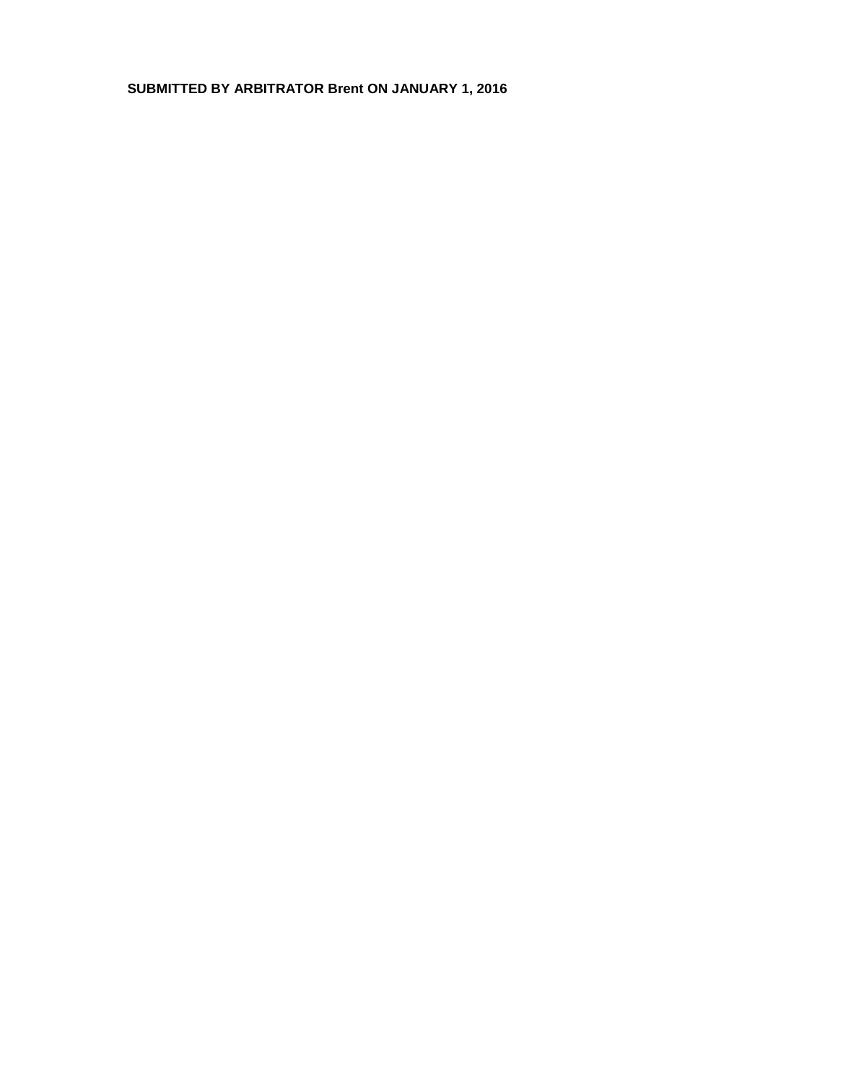# **SUBMITTED BY ARBITRATOR Brent ON JANUARY 1, 2016**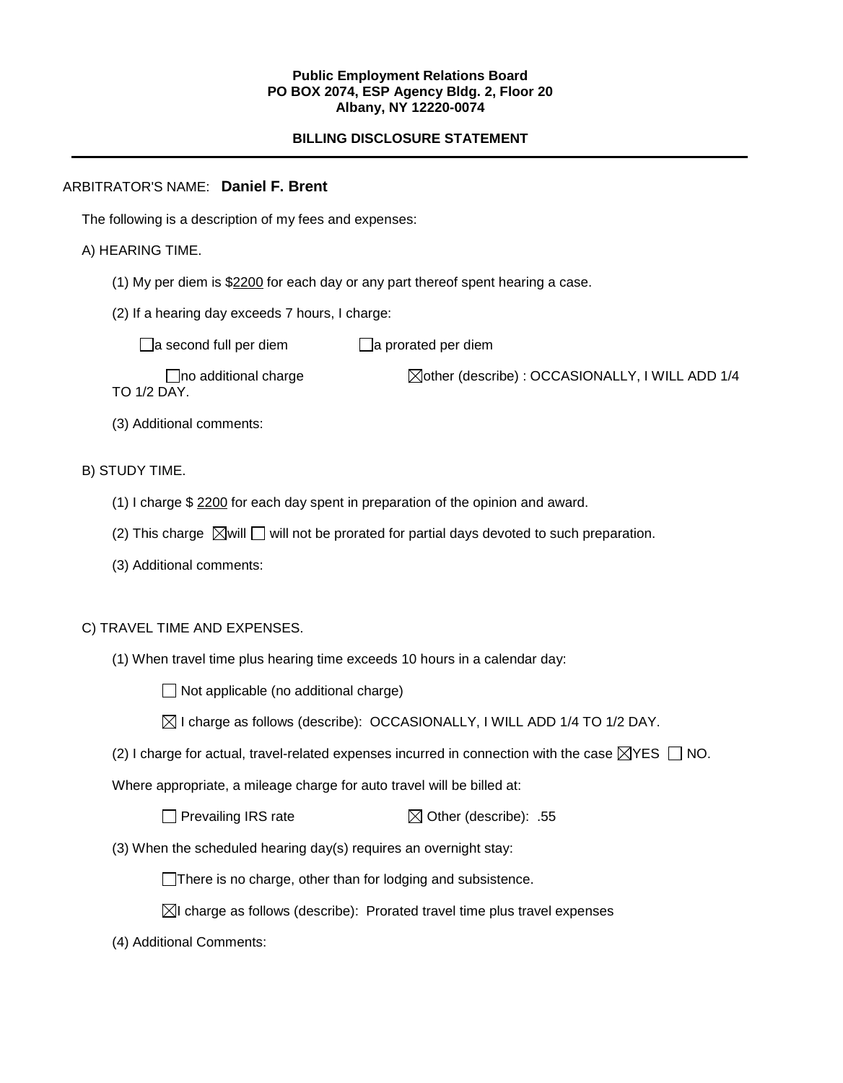#### **Public Employment Relations Board PO BOX 2074, ESP Agency Bldg. 2, Floor 20 Albany, NY 12220-0074**

## **BILLING DISCLOSURE STATEMENT**

## ARBITRATOR'S NAME: **Daniel F. Brent**

The following is a description of my fees and expenses:

## A) HEARING TIME.

- (1) My per diem is \$2200 for each day or any part thereof spent hearing a case.
- (2) If a hearing day exceeds 7 hours, I charge:

 $\Box$ a second full per diem  $\Box$ a prorated per diem

 $\Box$ no additional charge  $\Box$ other (describe) : OCCASIONALLY, I WILL ADD 1/4 TO 1/2 DAY.

(3) Additional comments:

## B) STUDY TIME.

- (1) I charge \$ 2200 for each day spent in preparation of the opinion and award.
- (2) This charge  $\boxtimes$  will  $\Box$  will not be prorated for partial days devoted to such preparation.
- (3) Additional comments:

## C) TRAVEL TIME AND EXPENSES.

(1) When travel time plus hearing time exceeds 10 hours in a calendar day:

 $\Box$  Not applicable (no additional charge)

| $\boxtimes$ I charge as follows (describe): OCCASIONALLY, I WILL ADD 1/4 TO 1/2 DAY. |  |  |
|--------------------------------------------------------------------------------------|--|--|
|--------------------------------------------------------------------------------------|--|--|

(2) I charge for actual, travel-related expenses incurred in connection with the case  $\boxtimes$ YES  $\Box$  NO.

Where appropriate, a mileage charge for auto travel will be billed at:

 $\Box$  Prevailing IRS rate  $\boxtimes$  Other (describe): .55

(3) When the scheduled hearing day(s) requires an overnight stay:

There is no charge, other than for lodging and subsistence.

- $\boxtimes$ I charge as follows (describe): Prorated travel time plus travel expenses
- (4) Additional Comments: